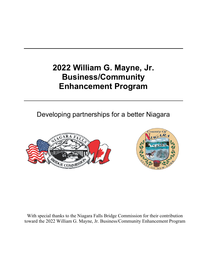# **2022 William G. Mayne, Jr. Business/Community Enhancement Program**

Developing partnerships for a better Niagara





With special thanks to the Niagara Falls Bridge Commission for their contribution toward the 2022 William G. Mayne, Jr. Business/Community Enhancement Program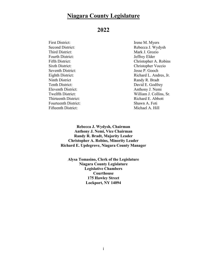# **Niagara County Legislature**

### **2022**

| <b>First District:</b>      | Irene M. Myers   |
|-----------------------------|------------------|
| <b>Second District:</b>     | Rebecca J. Wyd   |
| Third District:             | Mark J. Grozio   |
| <b>Fourth District:</b>     | Jeffrey Elder    |
| Fifth District:             | Christopher A.   |
| <b>Sixth District:</b>      | Christopher Voo  |
| Seventh District:           | Jesse P. Gooch   |
| Eighth District:            | Richard L. And   |
| Ninth District              | Randy R. Bradt   |
| Tenth District:             | David E. Godfre  |
| Eleventh District:          | Anthony J. Nem   |
| Twelfth District:           | William J. Colli |
| Thirteenth District:        | Richard E. Abb   |
| <b>Fourteenth District:</b> | Shawn A. Foti    |
| Fifteenth District:         | Michael A. Hill  |

Rebecca J. Wydysh Mark J. Grozio Jeffrey Elder Christopher A. Robins Christopher Voccio Jesse P. Gooch Richard L. Andres, Jr. Randy R. Bradt David E. Godfrey Anthony J. Nemi William J. Collins, Sr. Richard E. Abbott Shawn A. Foti Michael A. Hill

**Rebecca J. Wydysh, Chairman Anthony J. Nemi, Vice Chairman Randy R. Bradt, Majority Leader Christopher A. Robins, Minority Leader Richard E. Updegrove, Niagara County Manager**

**Alysa Tomasino, Clerk of the Legislature Niagara County Legislature Legislative Chambers Courthouse 175 Hawley Street Lockport, NY 14094**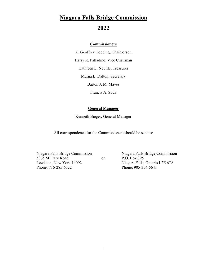# **Niagara Falls Bridge Commission**

## **2022**

#### **Commissioners**

K. Geoffrey Topping, Chairperson Harry R. Palladino, Vice Chairman Kathleen L. Neville, Treasurer Murna L. Dalton, Secretary

Barton J. M. Maves

Francis A. Soda

#### **General Manager**

Kenneth Bieger, General Manager

All correspondence for the Commissioners should be sent to:

Niagara Falls Bridge Commission Niagara Falls Bridge Commission 5365 Military Road or P.O. Box 395 Lewiston, New York 14092 Niagara Falls, Ontario L2E 6T8 Phone: 716-285-6322 Phone: 905-354-5641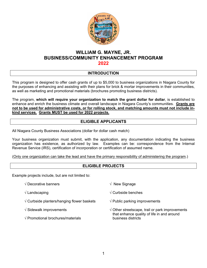

#### **WILLIAM G. MAYNE, JR. BUSINESS/COMMUNITY ENHANCEMENT PROGRAM 2022**

#### **INTRODUCTION**

This program is designed to offer cash grants of up to \$5,000 to business organizations in Niagara County for the purposes of enhancing and assisting with their plans for brick & mortar improvements in their communities, as well as marketing and promotional materials (brochures promoting business districts).

The program, **which will require your organization to match the grant dollar for dollar**, is established to enhance and enrich the business climate and overall landscape in Niagara County's communities. **Grants are not to be used for administrative costs, or for rolling stock, and matching amounts must not include inkind services. Grants MUST be used for 2022 projects.** 

#### **ELIGIBLE APPLICANTS**

All Niagara County Business Associations (dollar for dollar cash match)

Your business organization must submit, with the application, any documentation indicating the business organization has existence, as authorized by law. Examples can be: correspondence from the Internal Revenue Service (IRS), certification of incorporation or certification of assumed name.

(Only one organization can take the lead and have the primary responsibility of administering the program.)

#### **ELIGIBLE PROJECTS**

Example projects include, but are not limited to:

- √ Decorative banners √ New Signage
- 
- $\sqrt{2}$  Curbside planters/hanging flower baskets  $\sqrt{2}$  Public parking improvements
- 
- $\sqrt{P}$  Promotional brochures/materials business districts
- 
- √ Landscaping √ Curbside benches
	-
- √ Sidewalk improvements √ Other streetscape, trail or park improvements that enhance quality of life in and around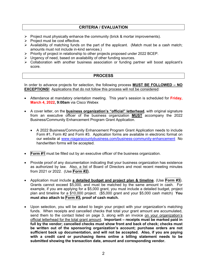#### **CRITERIA / EVALUATION**

- $\triangleright$  Project must physically enhance the community (brick & mortar improvements).
- $\triangleright$  Project must be cost effective.
- $\triangleright$  Availability of matching funds on the part of the applicant. (Match must be a cash match; amounts must not include in-kind services.)
- $\triangleright$  Priority of project in relationship to other projects proposed under 2022 BCEP.
- $\triangleright$  Urgency of need, based on availability of other funding sources.
- $\triangleright$  Collaboration with another business association or funding partner will boost applicant's score.

#### **PROCESS**

In order to advance projects for selection, the following process **MUST BE FOLLOWED – NO EXCEPTIONS!** Applications that do not follow this process will not be considered:

- Attendance at mandatory orientation meeting. This year's session is scheduled for **Friday, March 4, 2022, 9:00am** via Cisco Webex
- A cover letter, on the **business organization's "official" letterhead**, with original signature from an executive officer of the business organization **MUST** accompany the 2022 Business/Community Enhancement Program Grant Application.
	- A 2022 Business/Community Enhancement Program Grant Application needs to include Form #1, Form #2 and Form #3. Application forms are available in electronic format on our website at www.niagaracountybusiness.com/business-community-enhancement No handwritten forms will be accepted.
- **Form #1** must be filled out by an executive officer of the business organization.
- Provide proof of any documentation indicating that your business organization has existence as authorized by law. Also, a list of Board of Directors and most recent meeting minutes from 2021 or 2022. (Use **Form #2**).
- Application must include **a detailed budget and project plan & timeline**. (Use **Form #3**). Grants cannot exceed \$5,000, and must be matched by the same amount in cash. For example, if you are applying for a \$5,000 grant, you must include a detailed budget, project plan and timeline for a \$10,000 project. (\$5,000 grant and your \$5,000 cash match) **You must also attach to Form #3, proof of cash match.**
- Upon selection, you will be asked to begin your project with your organization's matching funds. When receipts and cancelled checks that total your grant amount are accumulated, send them to the contact listed on page 3, along with an invoice on your organization's official letterhead for the total grant amount. **Important – receipts must be marked paid in full by the vendor; cancelled checks must show front and back of check; checks must be written out of the sponsoring organization's account; purchase orders are not sufficient back up documentation, and will not be accepted. Also, if you are paying with a credit card or purchasing items online a billing statement needs to be submitted showing the transaction date, amount and corresponding vendor.**